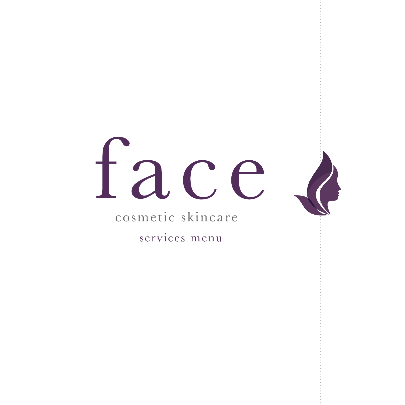# face?



## cosmetic skincare

services menu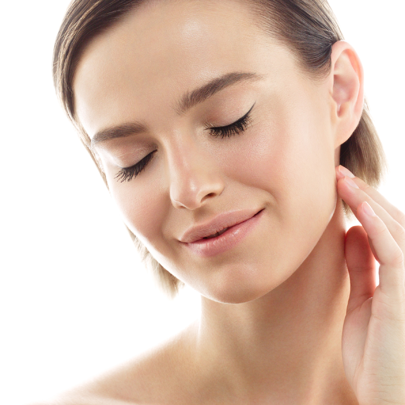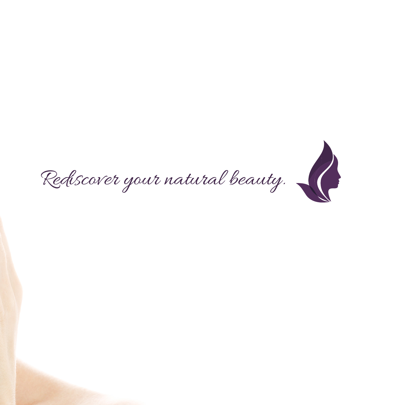

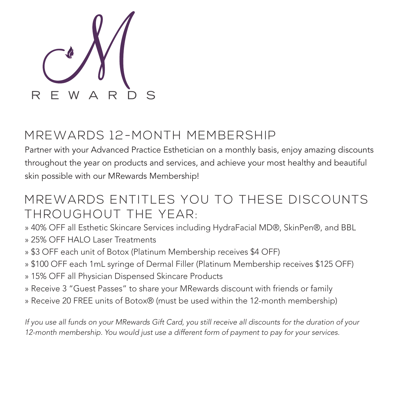## MREWARDS 12-MONTH MEMBERSHIP

Partner with your Advanced Practice Esthetician on a monthly basis, enjoy amazing discounts throughout the year on products and services, and achieve your most healthy and beautiful skin possible with our MRewards Membership!

## MREWARDS ENTITLES YOU TO THESE DISCOUNTS THROUGHOUT THE YEAR:

» 40% OFF all Esthetic Skincare Services including HydraFacial MD®, SkinPen®, and BBL » 25% OFF HALO Laser Treatments

» \$3 OFF each unit of Botox (Platinum Membership receives \$4 OFF)

» \$100 OFF each 1mL syringe of Dermal Filler (Platinum Membership receives \$125 OFF)

- » 15% OFF all Physician Dispensed Skincare Products
- » Receive 3 "Guest Passes" to share your MRewards discount with friends or family
- » Receive 20 FREE units of Botox® (must be used within the 12-month membership)

*If you use all funds on your MRewards Gift Card, you still receive all discounts for the duration of your 12-month membership. You would just use a different form of payment to pay for your services.*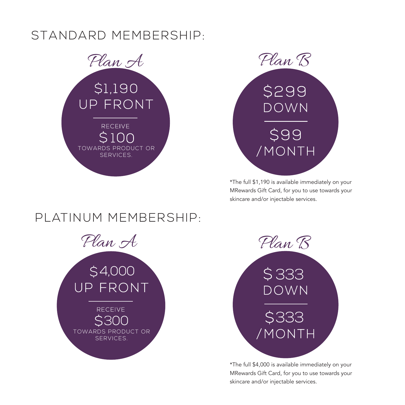## STANDARD MEMBERSHIP:





\*The full \$1,190 is available immediately on your MRewards Gift Card, for you to use towards your skincare and/or injectable services.

## PLATINUM MEMBERSHIP:





\*The full \$4,000 is available immediately on your MRewards Gift Card, for you to use towards your skincare and/or injectable services.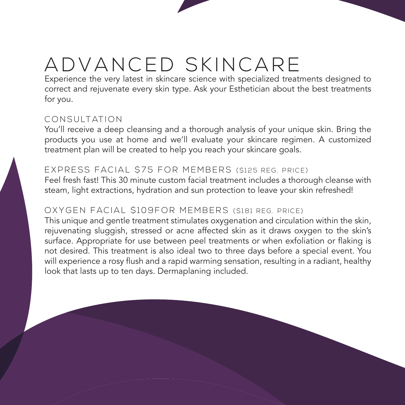

Experience the very latest in skincare science with specialized treatments designed to correct and rejuvenate every skin type. Ask your Esthetician about the best treatments for you.

### CONSULTATION

You'll receive a deep cleansing and a thorough analysis of your unique skin. Bring the products you use at home and we'll evaluate your skincare regimen. A customized treatment plan will be created to help you reach your skincare goals.

### EXPRESS FACIAL \$75 FOR MEMBERS (\$125 REG. PRICE)

Feel fresh fast! This 30 minute custom facial treatment includes a thorough cleanse with steam, light extractions, hydration and sun protection to leave your skin refreshed!

### OXYGEN FACIAL \$109FOR MEMBERS (\$181 REG. PRICE)

This unique and gentle treatment stimulates oxygenation and circulation within the skin, rejuvenating sluggish, stressed or acne affected skin as it draws oxygen to the skin's surface. Appropriate for use between peel treatments or when exfoliation or flaking is not desired. This treatment is also ideal two to three days before a special event. You will experience a rosy flush and a rapid warming sensation, resulting in a radiant, healthy look that lasts up to ten days. Dermaplaning included.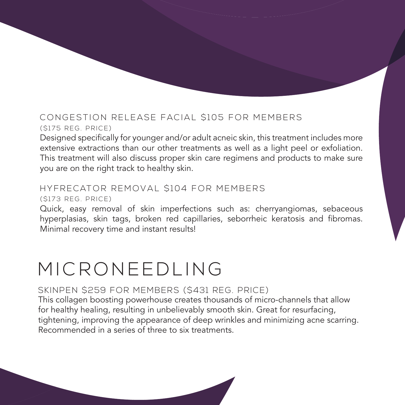## CONGESTION RELEASE FACIAL \$105 FOR MEMBERS (\$175 REG. PRICE)

Designed specifically for younger and/or adult acneic skin, this treatment includes more extensive extractions than our other treatments as well as a light peel or exfoliation. This treatment will also discuss proper skin care regimens and products to make sure you are on the right track to healthy skin.

### HYFRECATOR REMOVAL \$104 FOR MEMBERS (\$173 REG. PRICE)

Quick, easy removal of skin imperfections such as: cherryangiomas, sebaceous hyperplasias, skin tags, broken red capillaries, seborrheic keratosis and fibromas. Minimal recovery time and instant results!

# MICRONEEDLING

## SKINPEN \$259 FOR MEMBERS (\$431 REG. PRICE)

This collagen boosting powerhouse creates thousands of micro-channels that allow for healthy healing, resulting in unbelievably smooth skin. Great for resurfacing, tightening, improving the appearance of deep wrinkles and minimizing acne scarring. Recommended in a series of three to six treatments.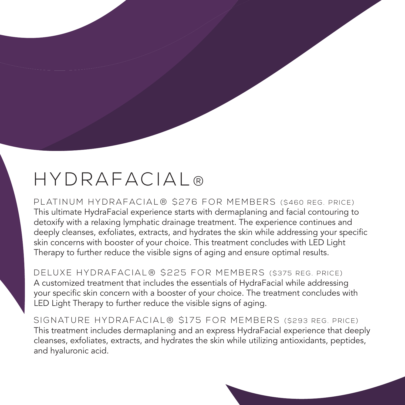# HYDRAFACIAL ®

PLATINUM HYDRAFACIAL® \$276 FOR MEMBERS (\$460 REG. PRICE) This ultimate HydraFacial experience starts with dermaplaning and facial contouring to detoxify with a relaxing lymphatic drainage treatment. The experience continues and deeply cleanses, exfoliates, extracts, and hydrates the skin while addressing your specific skin concerns with booster of your choice. This treatment concludes with LED Light Therapy to further reduce the visible signs of aging and ensure optimal results.

DELUXE HYDRAFACIAL® \$225 FOR MEMBERS (\$375 REG. PRICE) A customized treatment that includes the essentials of HydraFacial while addressing your specific skin concern with a booster of your choice. The treatment concludes with LED Light Therapy to further reduce the visible signs of aging.

SIGNATURE HYDRAFACIAL® \$175 FOR MEMBERS (\$293 REG. PRICE) This treatment includes dermaplaning and an express HydraFacial experience that deeply cleanses, exfoliates, extracts, and hydrates the skin while utilizing antioxidants, peptides, and hyaluronic acid.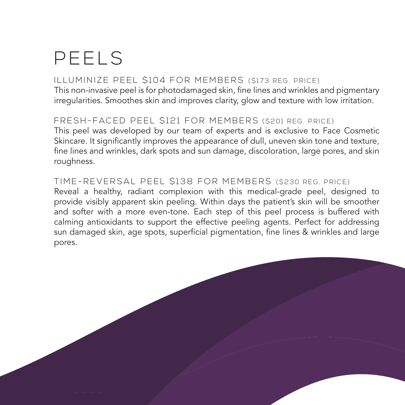# PEELS

ILLUMINIZE PEEL \$104 FOR MEMBERS (\$173 REG. PRICE) This non-invasive peel is for photodamaged skin, fine lines and wrinkles and pigmentary irregularities. Smoothes skin and improves clarity, glow and texture with low irritation.

## FRESH-FACED PEEL \$121 FOR MEMBERS (\$201 RFG. PRICE)

This peel was developed by our team of experts and is exclusive to Face Cosmetic Skincare. It significantly improves the appearance of dull, uneven skin tone and texture, fine lines and wrinkles, dark spots and sun damage, discoloration, large pores, and skin roughness.

TIME-REVERSAL PEEL \$138 FOR MEMBERS (\$230 REG. PRICE) Reveal a healthy, radiant complexion with this medical-grade peel, designed to provide visibly apparent skin peeling. Within days the patient's skin will be smoother and softer with a more even-tone. Each step of this peel process is buffered with calming antioxidants to support the effective peeling agents. Perfect for addressing sun damaged skin, age spots, superficial pigmentation, fine lines & wrinkles and large pores.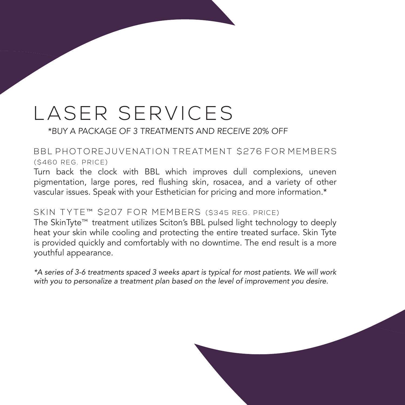# LASER SERVICES

\*BUY A PACKAGE OF 3 TREATMENTS AND RECEIVE 20% OFF

### BBL PHOTOREJUVENATION TREATMENT \$276 FOR MEMBERS  $(S460$  RFG PRICE)

Turn back the clock with BBL which improves dull complexions, uneven pigmentation, large pores, red flushing skin, rosacea, and a variety of other vascular issues. Speak with your Esthetician for pricing and more information.\*

#### SKIN TYTE™ \$207 FOR MEMBERS (\$345 REG. PRICE)

The SkinTyte™ treatment utilizes Sciton's BBL pulsed light technology to deeply heat your skin while cooling and protecting the entire treated surface. Skin Tyte is provided quickly and comfortably with no downtime. The end result is a more youthful appearance.

*\*A series of 3-6 treatments spaced 3 weeks apart is typical for most patients. We will work with you to personalize a treatment plan based on the level of improvement you desire.*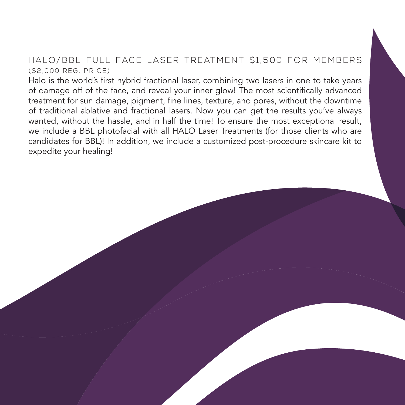## HALO/ BBL FULL FACE LASER TREATMENT \$1,500 FOR MEMBERS (\$2,000 REG. PRICE)

Halo is the world's first hybrid fractional laser, combining two lasers in one to take years of damage off of the face, and reveal your inner glow! The most scientifically advanced treatment for sun damage, pigment, fine lines, texture, and pores, without the downtime of traditional ablative and fractional lasers. Now you can get the results you've always wanted, without the hassle, and in half the time! To ensure the most exceptional result, we include a BBL photofacial with all HALO Laser Treatments (for those clients who are candidates for BBL)! In addition, we include a customized post-procedure skincare kit to expedite your healing!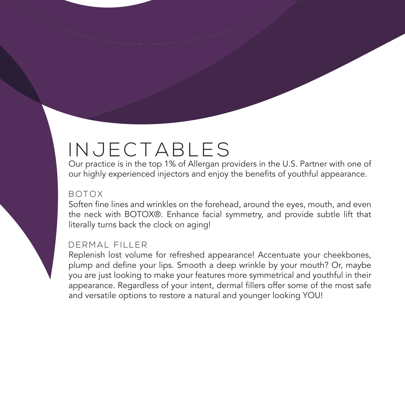# INJECTABLES

Our practice is in the top 1% of Allergan providers in the U.S. Partner with one of our highly experienced injectors and enjoy the benefits of youthful appearance.

### BOTOX

Soften fine lines and wrinkles on the forehead, around the eyes, mouth, and even the neck with BOTOX®. Enhance facial symmetry, and provide subtle lift that literally turns back the clock on aging!

## D F R M A L F I L F R

Replenish lost volume for refreshed appearance! Accentuate your cheekbones, plump and define your lips. Smooth a deep wrinkle by your mouth? Or, maybe you are just looking to make your features more symmetrical and youthful in their appearance. Regardless of your intent, dermal fillers offer some of the most safe and versatile options to restore a natural and younger looking YOU!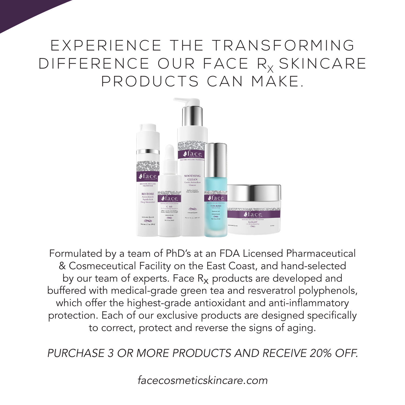## EXPERIENCE THE TRANSFORMING DIFFERENCE OUR FACE R<sub>x</sub> SKINCARE PRODUCTS CAN MAKE.



Formulated by a team of PhD's at an FDA Licensed Pharmaceutical & Cosmeceutical Facility on the East Coast, and hand-selected by our team of experts. Face  $R_X$  products are developed and buffered with medical-grade green tea and resveratrol polyphenols, which offer the highest-grade antioxidant and anti-inflammatory protection. Each of our exclusive products are designed specifically to correct, protect and reverse the signs of aging.

*PURCHASE 3 OR MORE PRODUCTS AND RECEIVE 20% OFF.*

*facecosmeticskincare.com*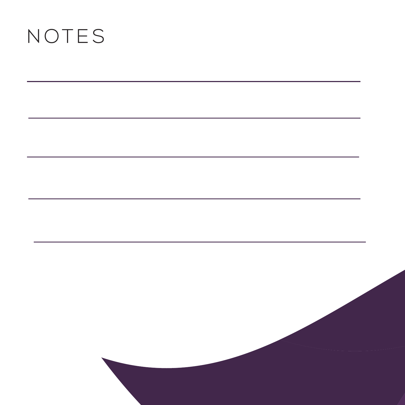# NOTES

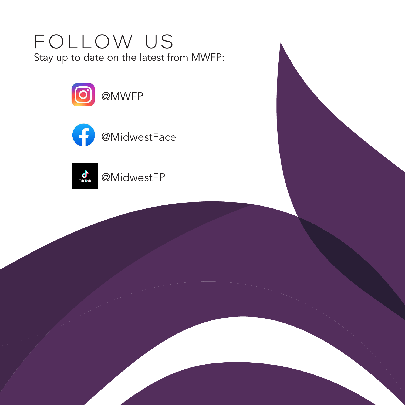## FOLLOW US Stay up to date on the latest from MWFP:





@MidwestFace